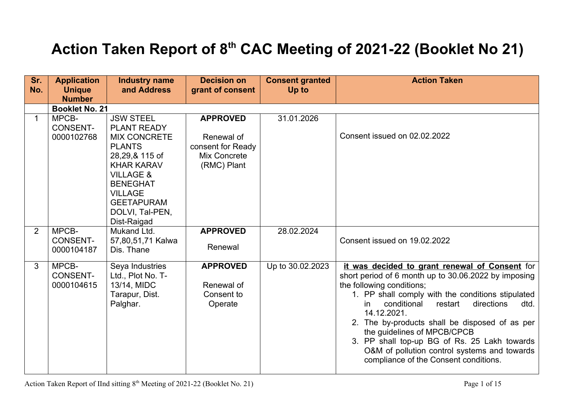## **Action Taken Report of 8th CAC Meeting of 2021-22 (Booklet No 21)**

| Sr.<br>No.   | <b>Application</b><br><b>Unique</b><br><b>Number</b> | <b>Industry name</b><br>and Address                                                                                                                                                                                                       | <b>Decision on</b><br>grant of consent                                            | <b>Consent granted</b><br>Up to | <b>Action Taken</b>                                                                                                                                                                                                                                                                                                                                                                                                                                                                     |
|--------------|------------------------------------------------------|-------------------------------------------------------------------------------------------------------------------------------------------------------------------------------------------------------------------------------------------|-----------------------------------------------------------------------------------|---------------------------------|-----------------------------------------------------------------------------------------------------------------------------------------------------------------------------------------------------------------------------------------------------------------------------------------------------------------------------------------------------------------------------------------------------------------------------------------------------------------------------------------|
|              | <b>Booklet No. 21</b>                                |                                                                                                                                                                                                                                           |                                                                                   |                                 |                                                                                                                                                                                                                                                                                                                                                                                                                                                                                         |
| $\mathbf{1}$ | MPCB-<br><b>CONSENT-</b><br>0000102768               | <b>JSW STEEL</b><br><b>PLANT READY</b><br><b>MIX CONCRETE</b><br><b>PLANTS</b><br>28,29,& 115 of<br><b>KHAR KARAV</b><br><b>VILLAGE &amp;</b><br><b>BENEGHAT</b><br><b>VILLAGE</b><br><b>GEETAPURAM</b><br>DOLVI, Tal-PEN,<br>Dist-Raigad | <b>APPROVED</b><br>Renewal of<br>consent for Ready<br>Mix Concrete<br>(RMC) Plant | 31.01.2026                      | Consent issued on 02.02.2022                                                                                                                                                                                                                                                                                                                                                                                                                                                            |
| 2            | MPCB-<br><b>CONSENT-</b><br>0000104187               | Mukand Ltd.<br>57,80,51,71 Kalwa<br>Dis. Thane                                                                                                                                                                                            | <b>APPROVED</b><br>Renewal                                                        | 28.02.2024                      | Consent issued on 19.02.2022                                                                                                                                                                                                                                                                                                                                                                                                                                                            |
| 3            | MPCB-<br><b>CONSENT-</b><br>0000104615               | Seya Industries<br>Ltd., Plot No. T-<br>13/14, MIDC<br>Tarapur, Dist.<br>Palghar.                                                                                                                                                         | <b>APPROVED</b><br>Renewal of<br>Consent to<br>Operate                            | Up to 30.02.2023                | it was decided to grant renewal of Consent for<br>short period of 6 month up to 30.06.2022 by imposing<br>the following conditions;<br>1. PP shall comply with the conditions stipulated<br>conditional<br>restart<br>directions<br>in<br>dtd.<br>14.12.2021.<br>2. The by-products shall be disposed of as per<br>the guidelines of MPCB/CPCB<br>3. PP shall top-up BG of Rs. 25 Lakh towards<br>O&M of pollution control systems and towards<br>compliance of the Consent conditions. |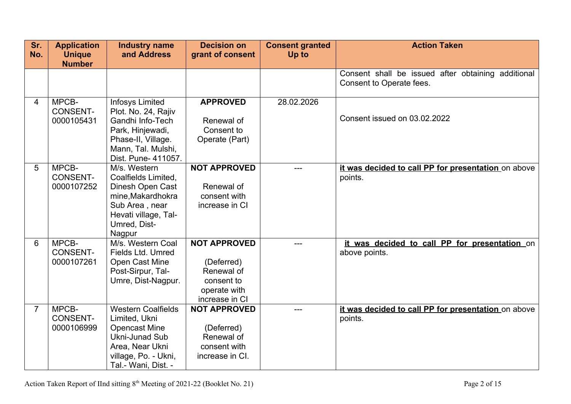| Sr.            | <b>Application</b>                     | <b>Industry name</b>                                                                                                                                          | <b>Decision on</b>                                                                              | <b>Consent granted</b> | <b>Action Taken</b>                                                            |
|----------------|----------------------------------------|---------------------------------------------------------------------------------------------------------------------------------------------------------------|-------------------------------------------------------------------------------------------------|------------------------|--------------------------------------------------------------------------------|
| No.            | <b>Unique</b><br><b>Number</b>         | and Address                                                                                                                                                   | grant of consent                                                                                | Up to                  |                                                                                |
|                |                                        |                                                                                                                                                               |                                                                                                 |                        | Consent shall be issued after obtaining additional<br>Consent to Operate fees. |
| 4              | MPCB-<br><b>CONSENT-</b><br>0000105431 | <b>Infosys Limited</b><br>Plot. No. 24, Rajiv<br>Gandhi Info-Tech<br>Park, Hinjewadi,<br>Phase-II, Village.<br>Mann, Tal. Mulshi,<br>Dist. Pune- 411057.      | <b>APPROVED</b><br>Renewal of<br>Consent to<br>Operate (Part)                                   | 28.02.2026             | Consent issued on 03.02.2022                                                   |
| 5              | MPCB-<br><b>CONSENT-</b><br>0000107252 | M/s. Western<br>Coalfields Limited,<br>Dinesh Open Cast<br>mine, Makardhokra<br>Sub Area, near<br>Hevati village, Tal-<br>Umred, Dist-<br>Nagpur              | <b>NOT APPROVED</b><br>Renewal of<br>consent with<br>increase in CI                             |                        | it was decided to call PP for presentation on above<br>points.                 |
| 6              | MPCB-<br><b>CONSENT-</b><br>0000107261 | M/s. Western Coal<br>Fields Ltd. Umred<br>Open Cast Mine<br>Post-Sirpur, Tal-<br>Umre, Dist-Nagpur.                                                           | <b>NOT APPROVED</b><br>(Deferred)<br>Renewal of<br>consent to<br>operate with<br>increase in CI |                        | it was decided to call PP for presentation on<br>above points.                 |
| $\overline{7}$ | MPCB-<br><b>CONSENT-</b><br>0000106999 | <b>Western Coalfields</b><br>Limited, Ukni<br><b>Opencast Mine</b><br><b>Ukni-Junad Sub</b><br>Area, Near Ukni<br>village, Po. - Ukni,<br>Tal.- Wani, Dist. - | <b>NOT APPROVED</b><br>(Deferred)<br>Renewal of<br>consent with<br>increase in CI.              |                        | it was decided to call PP for presentation on above<br>points.                 |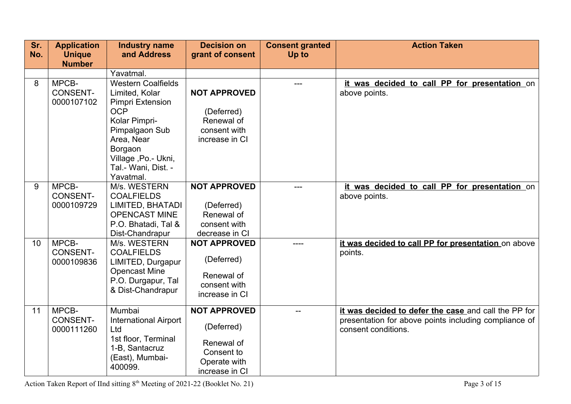| Sr. | <b>Application</b>                     | <b>Industry name</b>                                                                                                                                                                     | <b>Decision on</b>                                                                              | <b>Consent granted</b> | <b>Action Taken</b>                                                                                                                  |
|-----|----------------------------------------|------------------------------------------------------------------------------------------------------------------------------------------------------------------------------------------|-------------------------------------------------------------------------------------------------|------------------------|--------------------------------------------------------------------------------------------------------------------------------------|
| No. | <b>Unique</b><br><b>Number</b>         | and Address                                                                                                                                                                              | grant of consent                                                                                | Up to                  |                                                                                                                                      |
|     |                                        | Yavatmal.                                                                                                                                                                                |                                                                                                 |                        |                                                                                                                                      |
| 8   | MPCB-<br><b>CONSENT-</b><br>0000107102 | <b>Western Coalfields</b><br>Limited, Kolar<br>Pimpri Extension<br><b>OCP</b><br>Kolar Pimpri-<br>Pimpalgaon Sub<br>Area, Near<br>Borgaon<br>Village, Po. - Ukni,<br>Tal.- Wani, Dist. - | <b>NOT APPROVED</b><br>(Deferred)<br>Renewal of<br>consent with<br>increase in CI               |                        | it was decided to call PP for presentation on<br>above points.                                                                       |
| 9   | MPCB-<br><b>CONSENT-</b><br>0000109729 | Yavatmal.<br>M/s. WESTERN<br><b>COALFIELDS</b><br>LIMITED, BHATADI<br><b>OPENCAST MINE</b><br>P.O. Bhatadi, Tal &<br>Dist-Chandrapur                                                     | <b>NOT APPROVED</b><br>(Deferred)<br>Renewal of<br>consent with<br>decrease in CI               | $---$                  | it was decided to call PP for presentation on<br>above points.                                                                       |
| 10  | MPCB-<br><b>CONSENT-</b><br>0000109836 | M/s. WESTERN<br><b>COALFIELDS</b><br>LIMITED, Durgapur<br><b>Opencast Mine</b><br>P.O. Durgapur, Tal<br>& Dist-Chandrapur                                                                | <b>NOT APPROVED</b><br>(Deferred)<br>Renewal of<br>consent with<br>increase in CI               | ----                   | it was decided to call PP for presentation on above<br>points.                                                                       |
| 11  | MPCB-<br><b>CONSENT-</b><br>0000111260 | Mumbai<br><b>International Airport</b><br>Ltd<br>1st floor, Terminal<br>1-B, Santacruz<br>(East), Mumbai-<br>400099.                                                                     | <b>NOT APPROVED</b><br>(Deferred)<br>Renewal of<br>Consent to<br>Operate with<br>increase in CI | $-$                    | it was decided to defer the case and call the PP for<br>presentation for above points including compliance of<br>consent conditions. |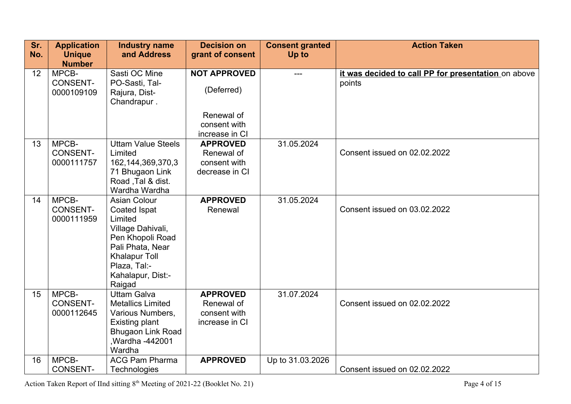| Sr. | <b>Application</b>             | <b>Industry name</b>            | <b>Decision on</b>         | <b>Consent granted</b> | <b>Action Taken</b>                                 |
|-----|--------------------------------|---------------------------------|----------------------------|------------------------|-----------------------------------------------------|
| No. | <b>Unique</b><br><b>Number</b> | and Address                     | grant of consent           | Up to                  |                                                     |
| 12  | MPCB-                          | Sasti OC Mine                   | <b>NOT APPROVED</b>        |                        | it was decided to call PP for presentation on above |
|     | <b>CONSENT-</b><br>0000109109  | PO-Sasti, Tal-<br>Rajura, Dist- | (Deferred)                 |                        | points                                              |
|     |                                | Chandrapur.                     |                            |                        |                                                     |
|     |                                |                                 | Renewal of                 |                        |                                                     |
|     |                                |                                 | consent with               |                        |                                                     |
|     |                                |                                 | increase in CI             |                        |                                                     |
| 13  | MPCB-                          | <b>Uttam Value Steels</b>       | <b>APPROVED</b>            | 31.05.2024             |                                                     |
|     | <b>CONSENT-</b>                | Limited                         | Renewal of                 |                        | Consent issued on 02.02.2022                        |
|     | 0000111757                     | 162, 144, 369, 370, 3           | consent with               |                        |                                                     |
|     |                                | 71 Bhugaon Link                 | decrease in CI             |                        |                                                     |
|     |                                | Road, Tal & dist.               |                            |                        |                                                     |
|     |                                | Wardha Wardha                   |                            |                        |                                                     |
| 14  | MPCB-<br><b>CONSENT-</b>       | <b>Asian Colour</b>             | <b>APPROVED</b><br>Renewal | 31.05.2024             | Consent issued on 03.02.2022                        |
|     | 0000111959                     | Coated Ispat<br>Limited         |                            |                        |                                                     |
|     |                                | Village Dahivali,               |                            |                        |                                                     |
|     |                                | Pen Khopoli Road                |                            |                        |                                                     |
|     |                                | Pali Phata, Near                |                            |                        |                                                     |
|     |                                | <b>Khalapur Toll</b>            |                            |                        |                                                     |
|     |                                | Plaza, Tal:-                    |                            |                        |                                                     |
|     |                                | Kahalapur, Dist:-               |                            |                        |                                                     |
|     |                                | Raigad                          |                            |                        |                                                     |
| 15  | MPCB-                          | <b>Uttam Galva</b>              | <b>APPROVED</b>            | 31.07.2024             |                                                     |
|     | <b>CONSENT-</b>                | <b>Metallics Limited</b>        | Renewal of                 |                        | Consent issued on 02.02.2022                        |
|     | 0000112645                     | Various Numbers,                | consent with               |                        |                                                     |
|     |                                | Existing plant                  | increase in CI             |                        |                                                     |
|     |                                | <b>Bhugaon Link Road</b>        |                            |                        |                                                     |
|     |                                | Wardha -442001                  |                            |                        |                                                     |
|     |                                | Wardha                          |                            |                        |                                                     |
| 16  | MPCB-                          | <b>ACG Pam Pharma</b>           | <b>APPROVED</b>            | Up to 31.03.2026       |                                                     |
|     | <b>CONSENT-</b>                | <b>Technologies</b>             |                            |                        | Consent issued on 02.02.2022                        |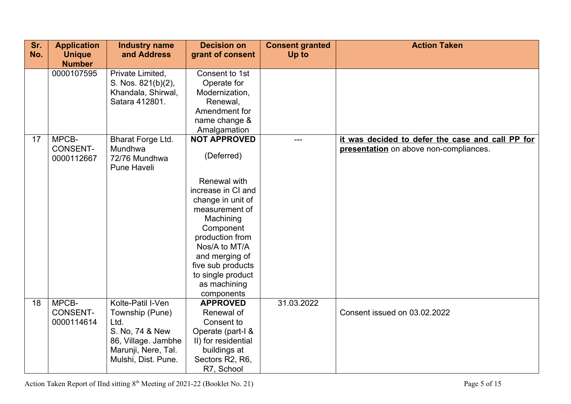| Sr.<br>No. | <b>Application</b><br><b>Unique</b>    | <b>Industry name</b><br>and Address                                                                                                  | <b>Decision on</b><br>grant of consent                                                                                                                                                                                            | <b>Consent granted</b><br>Up to | <b>Action Taken</b>                                                                        |
|------------|----------------------------------------|--------------------------------------------------------------------------------------------------------------------------------------|-----------------------------------------------------------------------------------------------------------------------------------------------------------------------------------------------------------------------------------|---------------------------------|--------------------------------------------------------------------------------------------|
|            | <b>Number</b><br>0000107595            | Private Limited,<br>S. Nos. 821(b)(2),<br>Khandala, Shirwal,<br>Satara 412801.                                                       | Consent to 1st<br>Operate for<br>Modernization,<br>Renewal,<br>Amendment for<br>name change &<br>Amalgamation                                                                                                                     |                                 |                                                                                            |
| 17         | MPCB-<br><b>CONSENT-</b><br>0000112667 | Bharat Forge Ltd.<br>Mundhwa<br>72/76 Mundhwa<br><b>Pune Haveli</b>                                                                  | <b>NOT APPROVED</b><br>(Deferred)                                                                                                                                                                                                 | $---$                           | it was decided to defer the case and call PP for<br>presentation on above non-compliances. |
|            |                                        |                                                                                                                                      | Renewal with<br>increase in CI and<br>change in unit of<br>measurement of<br>Machining<br>Component<br>production from<br>Nos/A to MT/A<br>and merging of<br>five sub products<br>to single product<br>as machining<br>components |                                 |                                                                                            |
| 18         | MPCB-<br><b>CONSENT-</b><br>0000114614 | Kolte-Patil I-Ven<br>Township (Pune)<br>Ltd.<br>S. No, 74 & New<br>86, Village. Jambhe<br>Marunji, Nere, Tal.<br>Mulshi, Dist. Pune. | <b>APPROVED</b><br>Renewal of<br>Consent to<br>Operate (part-I &<br>II) for residential<br>buildings at<br>Sectors R2, R6,<br>R7, School                                                                                          | 31.03.2022                      | Consent issued on 03.02.2022                                                               |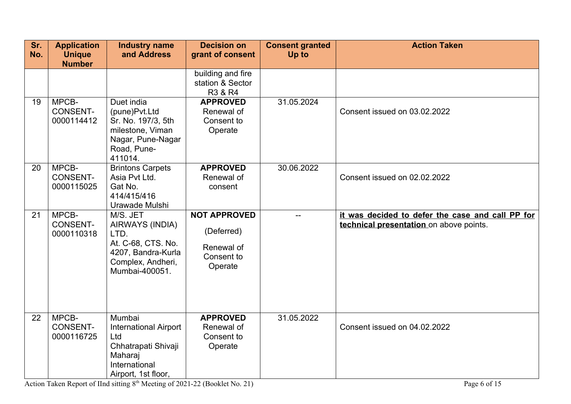| Sr. | <b>Application</b>                     | <b>Industry name</b>                                                                                                    | <b>Decision on</b>                                                       | <b>Consent granted</b> | <b>Action Taken</b>                                                                         |
|-----|----------------------------------------|-------------------------------------------------------------------------------------------------------------------------|--------------------------------------------------------------------------|------------------------|---------------------------------------------------------------------------------------------|
| No. | <b>Unique</b>                          | and Address                                                                                                             | grant of consent                                                         | Up to                  |                                                                                             |
|     | <b>Number</b>                          |                                                                                                                         | building and fire<br>station & Sector<br>R3 & R4                         |                        |                                                                                             |
| 19  | MPCB-<br><b>CONSENT-</b><br>0000114412 | Duet india<br>(pune)Pvt.Ltd<br>Sr. No. 197/3, 5th<br>milestone, Viman<br>Nagar, Pune-Nagar<br>Road, Pune-<br>411014.    | <b>APPROVED</b><br>Renewal of<br>Consent to<br>Operate                   | 31.05.2024             | Consent issued on 03.02.2022                                                                |
| 20  | MPCB-<br><b>CONSENT-</b><br>0000115025 | <b>Brintons Carpets</b><br>Asia Pvt Ltd.<br>Gat No.<br>414/415/416<br>Urawade Mulshi                                    | <b>APPROVED</b><br>Renewal of<br>consent                                 | 30.06.2022             | Consent issued on 02.02.2022                                                                |
| 21  | MPCB-<br><b>CONSENT-</b><br>0000110318 | M/S. JET<br>AIRWAYS (INDIA)<br>LTD.<br>At. C-68, CTS. No.<br>4207, Bandra-Kurla<br>Complex, Andheri,<br>Mumbai-400051.  | <b>NOT APPROVED</b><br>(Deferred)<br>Renewal of<br>Consent to<br>Operate | $-$                    | it was decided to defer the case and call PP for<br>technical presentation on above points. |
| 22  | MPCB-<br><b>CONSENT-</b><br>0000116725 | Mumbai<br><b>International Airport</b><br>Ltd<br>Chhatrapati Shivaji<br>Maharaj<br>International<br>Airport, 1st floor, | <b>APPROVED</b><br>Renewal of<br>Consent to<br>Operate                   | 31.05.2022             | Consent issued on 04.02.2022                                                                |

Action Taken Report of IInd sitting 8<sup>th</sup> Meeting of 2021-22 (Booklet No. 21) Page 6 of 15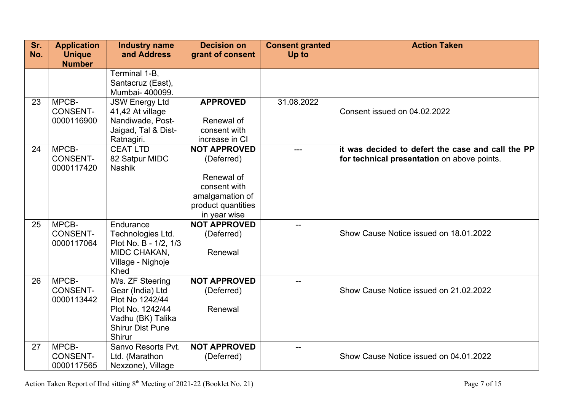| Sr. | <b>Application</b> | <b>Industry name</b>          | <b>Decision on</b>                    | <b>Consent granted</b> | <b>Action Taken</b>                               |
|-----|--------------------|-------------------------------|---------------------------------------|------------------------|---------------------------------------------------|
| No. | <b>Unique</b>      | and Address                   | grant of consent                      | <b>Up to</b>           |                                                   |
|     | <b>Number</b>      |                               |                                       |                        |                                                   |
|     |                    | Terminal 1-B,                 |                                       |                        |                                                   |
|     |                    | Santacruz (East),             |                                       |                        |                                                   |
|     |                    | Mumbai- 400099.               |                                       |                        |                                                   |
| 23  | MPCB-              | <b>JSW Energy Ltd</b>         | <b>APPROVED</b>                       | 31.08.2022             |                                                   |
|     | <b>CONSENT-</b>    | 41,42 At village              |                                       |                        | Consent issued on 04.02.2022                      |
|     | 0000116900         | Nandiwade, Post-              | Renewal of                            |                        |                                                   |
|     |                    | Jaigad, Tal & Dist-           | consent with                          |                        |                                                   |
| 24  | MPCB-              | Ratnagiri.<br><b>CEAT LTD</b> | increase in CI<br><b>NOT APPROVED</b> |                        | it was decided to defert the case and call the PP |
|     | <b>CONSENT-</b>    | 82 Satpur MIDC                | (Deferred)                            | $---$                  | for technical presentation on above points.       |
|     | 0000117420         | <b>Nashik</b>                 |                                       |                        |                                                   |
|     |                    |                               | Renewal of                            |                        |                                                   |
|     |                    |                               | consent with                          |                        |                                                   |
|     |                    |                               | amalgamation of                       |                        |                                                   |
|     |                    |                               | product quantities                    |                        |                                                   |
|     |                    |                               | in year wise                          |                        |                                                   |
| 25  | MPCB-              | Endurance                     | <b>NOT APPROVED</b>                   |                        |                                                   |
|     | <b>CONSENT-</b>    | Technologies Ltd.             | (Deferred)                            |                        | Show Cause Notice issued on 18.01.2022            |
|     | 0000117064         | Plot No. B - 1/2, 1/3         |                                       |                        |                                                   |
|     |                    | MIDC CHAKAN,                  | Renewal                               |                        |                                                   |
|     |                    | Village - Nighoje             |                                       |                        |                                                   |
|     |                    | Khed                          |                                       |                        |                                                   |
| 26  | MPCB-              | M/s. ZF Steering              | <b>NOT APPROVED</b>                   | $-$                    |                                                   |
|     | <b>CONSENT-</b>    | Gear (India) Ltd              | (Deferred)                            |                        | Show Cause Notice issued on 21.02.2022            |
|     | 0000113442         | Plot No 1242/44               |                                       |                        |                                                   |
|     |                    | Plot No. 1242/44              | Renewal                               |                        |                                                   |
|     |                    | Vadhu (BK) Talika             |                                       |                        |                                                   |
|     |                    | <b>Shirur Dist Pune</b>       |                                       |                        |                                                   |
|     | MPCB-              | Shirur<br>Sanvo Resorts Pvt.  | <b>NOT APPROVED</b>                   |                        |                                                   |
| 27  | <b>CONSENT-</b>    |                               |                                       |                        | Show Cause Notice issued on 04.01.2022            |
|     |                    | Ltd. (Marathon                | (Deferred)                            |                        |                                                   |
|     | 0000117565         | Nexzone), Village             |                                       |                        |                                                   |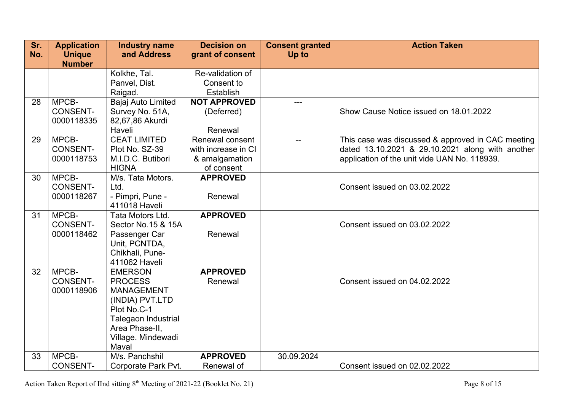| Sr.<br>No. | <b>Application</b>             | <b>Industry name</b><br>and Address | <b>Decision on</b>      | <b>Consent granted</b> | <b>Action Taken</b>                               |
|------------|--------------------------------|-------------------------------------|-------------------------|------------------------|---------------------------------------------------|
|            | <b>Unique</b><br><b>Number</b> |                                     | grant of consent        | Up to                  |                                                   |
|            |                                | Kolkhe, Tal.                        | Re-validation of        |                        |                                                   |
|            |                                | Panvel, Dist.<br>Raigad.            | Consent to<br>Establish |                        |                                                   |
| 28         | MPCB-                          | Bajaj Auto Limited                  | <b>NOT APPROVED</b>     |                        |                                                   |
|            | <b>CONSENT-</b>                | Survey No. 51A,                     | (Deferred)              |                        | Show Cause Notice issued on 18.01.2022            |
|            | 0000118335                     | 82,67,86 Akurdi                     |                         |                        |                                                   |
|            |                                | Haveli                              | Renewal                 |                        |                                                   |
| 29         | MPCB-                          | <b>CEAT LIMITED</b>                 | Renewal consent         | $-$                    | This case was discussed & approved in CAC meeting |
|            | <b>CONSENT-</b>                | Plot No. SZ-39                      | with increase in CI     |                        | dated 13.10.2021 & 29.10.2021 along with another  |
|            | 0000118753                     | M.I.D.C. Butibori                   | & amalgamation          |                        | application of the unit vide UAN No. 118939.      |
|            |                                | <b>HIGNA</b>                        | of consent              |                        |                                                   |
| 30         | MPCB-                          | M/s. Tata Motors.                   | <b>APPROVED</b>         |                        |                                                   |
|            | <b>CONSENT-</b>                | Ltd.                                |                         |                        | Consent issued on 03.02.2022                      |
|            | 0000118267                     | - Pimpri, Pune -                    | Renewal                 |                        |                                                   |
|            |                                | 411018 Haveli                       |                         |                        |                                                   |
| 31         | MPCB-                          | Tata Motors Ltd.                    | <b>APPROVED</b>         |                        |                                                   |
|            | <b>CONSENT-</b>                | Sector No.15 & 15A                  |                         |                        | Consent issued on 03.02.2022                      |
|            | 0000118462                     | Passenger Car                       | Renewal                 |                        |                                                   |
|            |                                | Unit, PCNTDA,                       |                         |                        |                                                   |
|            |                                | Chikhali, Pune-<br>411062 Haveli    |                         |                        |                                                   |
| 32         | MPCB-                          | <b>EMERSON</b>                      | <b>APPROVED</b>         |                        |                                                   |
|            | <b>CONSENT-</b>                | <b>PROCESS</b>                      | Renewal                 |                        | Consent issued on 04.02.2022                      |
|            | 0000118906                     | <b>MANAGEMENT</b>                   |                         |                        |                                                   |
|            |                                | (INDIA) PVT.LTD                     |                         |                        |                                                   |
|            |                                | Plot No.C-1                         |                         |                        |                                                   |
|            |                                | Talegaon Industrial                 |                         |                        |                                                   |
|            |                                | Area Phase-II,                      |                         |                        |                                                   |
|            |                                | Village. Mindewadi                  |                         |                        |                                                   |
|            |                                | Maval                               |                         |                        |                                                   |
| 33         | MPCB-                          | M/s. Panchshil                      | <b>APPROVED</b>         | 30.09.2024             |                                                   |
|            | <b>CONSENT-</b>                | Corporate Park Pvt.                 | Renewal of              |                        | Consent issued on 02.02.2022                      |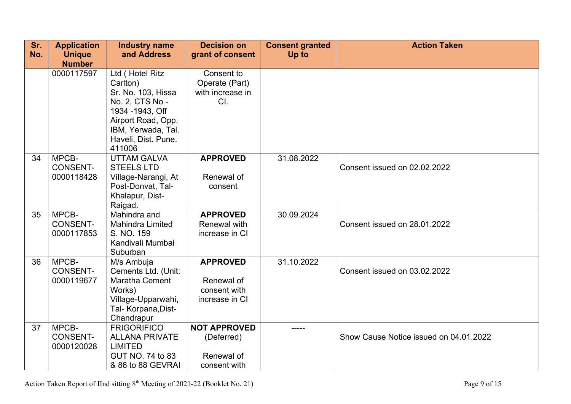| Sr.<br>No. | <b>Application</b><br><b>Unique</b>    | <b>Industry name</b><br>and Address                                                                                                                                   | <b>Decision on</b><br>grant of consent                          | <b>Consent granted</b><br>Up to | <b>Action Taken</b>                    |
|------------|----------------------------------------|-----------------------------------------------------------------------------------------------------------------------------------------------------------------------|-----------------------------------------------------------------|---------------------------------|----------------------------------------|
|            | <b>Number</b>                          |                                                                                                                                                                       |                                                                 |                                 |                                        |
|            | 0000117597                             | Ltd (Hotel Ritz<br>Carlton)<br>Sr. No. 103, Hissa<br>No. 2, CTS No -<br>1934 - 1943, Off<br>Airport Road, Opp.<br>IBM, Yerwada, Tal.<br>Haveli, Dist. Pune.<br>411006 | Consent to<br>Operate (Part)<br>with increase in<br>CI.         |                                 |                                        |
| 34         | MPCB-<br><b>CONSENT-</b><br>0000118428 | <b>UTTAM GALVA</b><br><b>STEELS LTD</b><br>Village-Narangi, At<br>Post-Donvat, Tal-<br>Khalapur, Dist-<br>Raigad.                                                     | <b>APPROVED</b><br>Renewal of<br>consent                        | 31.08.2022                      | Consent issued on 02.02.2022           |
| 35         | MPCB-<br><b>CONSENT-</b><br>0000117853 | Mahindra and<br><b>Mahindra Limited</b><br>S. NO. 159<br>Kandivali Mumbai<br>Suburban                                                                                 | <b>APPROVED</b><br>Renewal with<br>increase in CI               | 30.09.2024                      | Consent issued on 28.01.2022           |
| 36         | MPCB-<br><b>CONSENT-</b><br>0000119677 | M/s Ambuja<br>Cements Ltd. (Unit:<br>Maratha Cement<br>Works)<br>Village-Upparwahi,<br>Tal- Korpana, Dist-<br>Chandrapur                                              | <b>APPROVED</b><br>Renewal of<br>consent with<br>increase in CI | 31.10.2022                      | Consent issued on 03.02.2022           |
| 37         | MPCB-<br><b>CONSENT-</b><br>0000120028 | <b>FRIGORIFICO</b><br><b>ALLANA PRIVATE</b><br><b>LIMITED</b><br>GUT NO. 74 to 83<br>& 86 to 88 GEVRAI                                                                | <b>NOT APPROVED</b><br>(Deferred)<br>Renewal of<br>consent with | -----                           | Show Cause Notice issued on 04.01.2022 |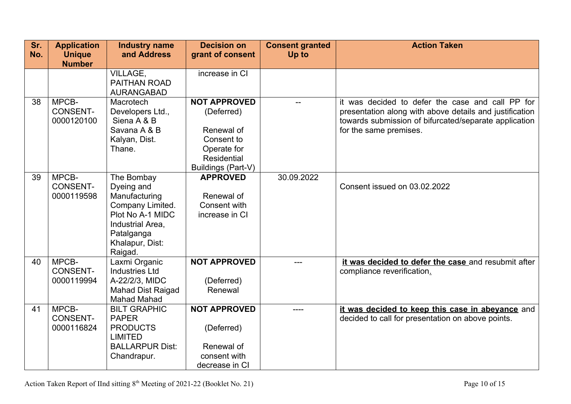| Sr. | <b>Application</b>             | <b>Industry name</b>            | <b>Decision on</b>  | <b>Consent granted</b> | <b>Action Taken</b>                                                                                              |
|-----|--------------------------------|---------------------------------|---------------------|------------------------|------------------------------------------------------------------------------------------------------------------|
| No. | <b>Unique</b><br><b>Number</b> | and Address                     | grant of consent    | Up to                  |                                                                                                                  |
|     |                                | VILLAGE,                        | increase in CI      |                        |                                                                                                                  |
|     |                                | PAITHAN ROAD                    |                     |                        |                                                                                                                  |
|     |                                | <b>AURANGABAD</b>               |                     |                        |                                                                                                                  |
| 38  | MPCB-                          | Macrotech                       | <b>NOT APPROVED</b> | --                     | it was decided to defer the case and call PP for                                                                 |
|     | <b>CONSENT-</b><br>0000120100  | Developers Ltd.,<br>Siena A & B | (Deferred)          |                        | presentation along with above details and justification<br>towards submission of bifurcated/separate application |
|     |                                | Savana A & B                    | Renewal of          |                        | for the same premises.                                                                                           |
|     |                                | Kalyan, Dist.                   | Consent to          |                        |                                                                                                                  |
|     |                                | Thane.                          | Operate for         |                        |                                                                                                                  |
|     |                                |                                 | Residential         |                        |                                                                                                                  |
|     |                                |                                 | Buildings (Part-V)  |                        |                                                                                                                  |
| 39  | MPCB-                          | The Bombay                      | <b>APPROVED</b>     | 30.09.2022             |                                                                                                                  |
|     | <b>CONSENT-</b>                | Dyeing and                      |                     |                        | Consent issued on 03.02.2022                                                                                     |
|     | 0000119598                     | Manufacturing                   | Renewal of          |                        |                                                                                                                  |
|     |                                | Company Limited.                | Consent with        |                        |                                                                                                                  |
|     |                                | Plot No A-1 MIDC                | increase in CI      |                        |                                                                                                                  |
|     |                                | Industrial Area,<br>Patalganga  |                     |                        |                                                                                                                  |
|     |                                | Khalapur, Dist:                 |                     |                        |                                                                                                                  |
|     |                                | Raigad.                         |                     |                        |                                                                                                                  |
| 40  | MPCB-                          | Laxmi Organic                   | <b>NOT APPROVED</b> | ---                    | it was decided to defer the case and resubmit after                                                              |
|     | <b>CONSENT-</b>                | <b>Industries Ltd</b>           |                     |                        | compliance reverification.                                                                                       |
|     | 0000119994                     | A-22/2/3, MIDC                  | (Deferred)          |                        |                                                                                                                  |
|     |                                | <b>Mahad Dist Raigad</b>        | Renewal             |                        |                                                                                                                  |
|     |                                | <b>Mahad Mahad</b>              |                     |                        |                                                                                                                  |
| 41  | MPCB-                          | <b>BILT GRAPHIC</b>             | <b>NOT APPROVED</b> | $- - - -$              | it was decided to keep this case in abeyance and                                                                 |
|     | <b>CONSENT-</b>                | <b>PAPER</b>                    |                     |                        | decided to call for presentation on above points.                                                                |
|     | 0000116824                     | <b>PRODUCTS</b>                 | (Deferred)          |                        |                                                                                                                  |
|     |                                | <b>LIMITED</b>                  |                     |                        |                                                                                                                  |
|     |                                | <b>BALLARPUR Dist:</b>          | Renewal of          |                        |                                                                                                                  |
|     |                                | Chandrapur.                     | consent with        |                        |                                                                                                                  |
|     |                                |                                 | decrease in CI      |                        |                                                                                                                  |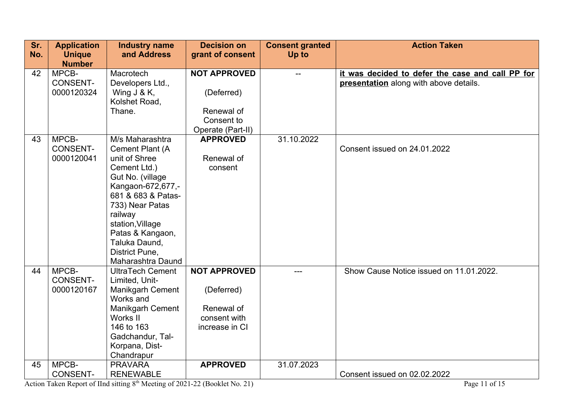| Sr. | <b>Application</b> | <b>Industry name</b>                 | <b>Decision on</b>  | <b>Consent granted</b> | <b>Action Taken</b>                              |
|-----|--------------------|--------------------------------------|---------------------|------------------------|--------------------------------------------------|
| No. | <b>Unique</b>      | and Address                          | grant of consent    | Up to                  |                                                  |
|     | <b>Number</b>      |                                      |                     |                        |                                                  |
| 42  | MPCB-              | Macrotech                            | <b>NOT APPROVED</b> | $-$                    | it was decided to defer the case and call PP for |
|     | <b>CONSENT-</b>    | Developers Ltd.,                     |                     |                        | presentation along with above details.           |
|     | 0000120324         | Wing $J & K$ ,                       | (Deferred)          |                        |                                                  |
|     |                    | Kolshet Road,                        |                     |                        |                                                  |
|     |                    | Thane.                               | Renewal of          |                        |                                                  |
|     |                    |                                      | Consent to          |                        |                                                  |
|     |                    |                                      | Operate (Part-II)   |                        |                                                  |
| 43  | MPCB-              | M/s Maharashtra                      | <b>APPROVED</b>     | 31.10.2022             |                                                  |
|     | <b>CONSENT-</b>    | Cement Plant (A                      |                     |                        | Consent issued on 24.01.2022                     |
|     | 0000120041         | unit of Shree                        | Renewal of          |                        |                                                  |
|     |                    | Cement Ltd.)                         | consent             |                        |                                                  |
|     |                    | Gut No. (village                     |                     |                        |                                                  |
|     |                    | Kangaon-672,677,-                    |                     |                        |                                                  |
|     |                    | 681 & 683 & Patas-                   |                     |                        |                                                  |
|     |                    | 733) Near Patas                      |                     |                        |                                                  |
|     |                    | railway                              |                     |                        |                                                  |
|     |                    | station, Village<br>Patas & Kangaon, |                     |                        |                                                  |
|     |                    | Taluka Daund,                        |                     |                        |                                                  |
|     |                    | District Pune,                       |                     |                        |                                                  |
|     |                    | Maharashtra Daund                    |                     |                        |                                                  |
| 44  | MPCB-              | <b>UltraTech Cement</b>              | <b>NOT APPROVED</b> |                        | Show Cause Notice issued on 11.01.2022.          |
|     | <b>CONSENT-</b>    | Limited, Unit-                       |                     |                        |                                                  |
|     | 0000120167         | <b>Manikgarh Cement</b>              | (Deferred)          |                        |                                                  |
|     |                    | Works and                            |                     |                        |                                                  |
|     |                    | Manikgarh Cement                     | Renewal of          |                        |                                                  |
|     |                    | Works II                             | consent with        |                        |                                                  |
|     |                    | 146 to 163                           | increase in CI      |                        |                                                  |
|     |                    | Gadchandur, Tal-                     |                     |                        |                                                  |
|     |                    | Korpana, Dist-                       |                     |                        |                                                  |
|     |                    | Chandrapur                           |                     |                        |                                                  |
| 45  | MPCB-              | <b>PRAVARA</b>                       | <b>APPROVED</b>     | 31.07.2023             |                                                  |
|     | <b>CONSENT-</b>    | <b>RENEWABLE</b>                     |                     |                        | Consent issued on 02.02.2022                     |

Action Taken Report of IInd sitting 8<sup>th</sup> Meeting of 2021-22 (Booklet No. 21) Page 11 of 15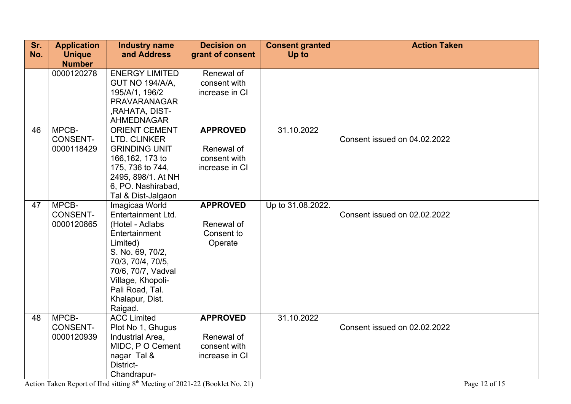| Sr.<br>No. | <b>Application</b><br><b>Unique</b><br><b>Number</b> | <b>Industry name</b><br>and Address                                                                                                                                                                                       | <b>Decision on</b><br>grant of consent                          | <b>Consent granted</b><br>Up to | <b>Action Taken</b>          |
|------------|------------------------------------------------------|---------------------------------------------------------------------------------------------------------------------------------------------------------------------------------------------------------------------------|-----------------------------------------------------------------|---------------------------------|------------------------------|
|            | 0000120278                                           | <b>ENERGY LIMITED</b><br><b>GUT NO 194/A/A,</b><br>195/A/1, 196/2<br><b>PRAVARANAGAR</b><br>, RAHATA, DIST-<br><b>AHMEDNAGAR</b>                                                                                          | Renewal of<br>consent with<br>increase in CI                    |                                 |                              |
| 46         | MPCB-<br><b>CONSENT-</b><br>0000118429               | <b>ORIENT CEMENT</b><br>LTD. CLINKER<br><b>GRINDING UNIT</b><br>166, 162, 173 to<br>175, 736 to 744,<br>2495, 898/1. At NH<br>6, PO. Nashirabad,<br>Tal & Dist-Jalgaon                                                    | <b>APPROVED</b><br>Renewal of<br>consent with<br>increase in CI | 31.10.2022                      | Consent issued on 04.02.2022 |
| 47         | MPCB-<br><b>CONSENT-</b><br>0000120865               | Imagicaa World<br>Entertainment Ltd.<br>(Hotel - Adlabs<br>Entertainment<br>Limited)<br>S. No. 69, 70/2,<br>70/3, 70/4, 70/5,<br>70/6, 70/7, Vadval<br>Village, Khopoli-<br>Pali Road, Tal.<br>Khalapur, Dist.<br>Raigad. | <b>APPROVED</b><br>Renewal of<br>Consent to<br>Operate          | Up to 31.08.2022.               | Consent issued on 02.02.2022 |
| 48         | MPCB-<br><b>CONSENT-</b><br>0000120939               | <b>ACC Limited</b><br>Plot No 1, Ghugus<br>Industrial Area,<br>MIDC, P O Cement<br>nagar Tal &<br>District-<br>Chandrapur-                                                                                                | <b>APPROVED</b><br>Renewal of<br>consent with<br>increase in CI | 31.10.2022                      | Consent issued on 02.02.2022 |

Action Taken Report of IInd sitting 8<sup>th</sup> Meeting of 2021-22 (Booklet No. 21) Page 12 of 15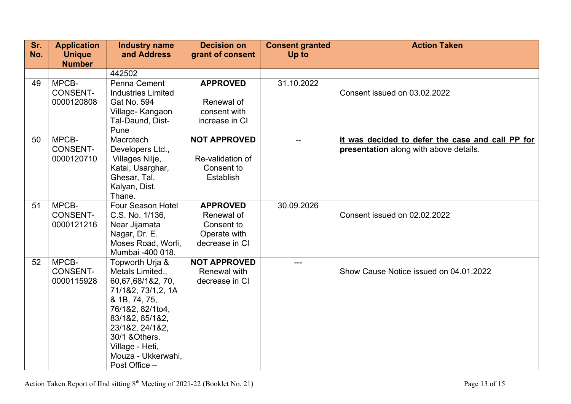| Sr. | <b>Application</b> | <b>Industry name</b>      | <b>Decision on</b>  | <b>Consent granted</b> | <b>Action Taken</b>                              |
|-----|--------------------|---------------------------|---------------------|------------------------|--------------------------------------------------|
| No. | <b>Unique</b>      | and Address               | grant of consent    | <b>Up to</b>           |                                                  |
|     | <b>Number</b>      |                           |                     |                        |                                                  |
|     |                    | 442502                    |                     |                        |                                                  |
| 49  | MPCB-              | Penna Cement              | <b>APPROVED</b>     | 31.10.2022             |                                                  |
|     | <b>CONSENT-</b>    | <b>Industries Limited</b> |                     |                        | Consent issued on 03.02.2022                     |
|     | 0000120808         | Gat No. 594               | Renewal of          |                        |                                                  |
|     |                    | Village-Kangaon           | consent with        |                        |                                                  |
|     |                    | Tal-Daund, Dist-          | increase in CI      |                        |                                                  |
|     |                    | Pune                      |                     |                        |                                                  |
| 50  | MPCB-              | Macrotech                 | <b>NOT APPROVED</b> | $-$                    | it was decided to defer the case and call PP for |
|     | <b>CONSENT-</b>    | Developers Ltd.,          |                     |                        | presentation along with above details.           |
|     | 0000120710         | Villages Nilje,           | Re-validation of    |                        |                                                  |
|     |                    | Katai, Usarghar,          | Consent to          |                        |                                                  |
|     |                    | Ghesar, Tal.              | Establish           |                        |                                                  |
|     |                    | Kalyan, Dist.<br>Thane.   |                     |                        |                                                  |
| 51  | MPCB-              | Four Season Hotel         | <b>APPROVED</b>     | 30.09.2026             |                                                  |
|     | <b>CONSENT-</b>    | C.S. No. 1/136,           | Renewal of          |                        | Consent issued on 02.02.2022                     |
|     | 0000121216         | Near Jijamata             | Consent to          |                        |                                                  |
|     |                    | Nagar, Dr. E.             | Operate with        |                        |                                                  |
|     |                    | Moses Road, Worli,        | decrease in CI      |                        |                                                  |
|     |                    | Mumbai -400 018.          |                     |                        |                                                  |
| 52  | MPCB-              | Topworth Urja &           | <b>NOT APPROVED</b> | ---                    |                                                  |
|     | <b>CONSENT-</b>    | Metals Limited.,          | Renewal with        |                        | Show Cause Notice issued on 04.01.2022           |
|     | 0000115928         | 60,67,68/1&2, 70,         | decrease in CI      |                        |                                                  |
|     |                    | 71/1&2, 73/1,2, 1A        |                     |                        |                                                  |
|     |                    | & 1B, 74, 75,             |                     |                        |                                                  |
|     |                    | 76/1&2, 82/1to4,          |                     |                        |                                                  |
|     |                    | 83/1&2, 85/1&2,           |                     |                        |                                                  |
|     |                    | 23/1&2, 24/1&2,           |                     |                        |                                                  |
|     |                    | 30/1 & Others.            |                     |                        |                                                  |
|     |                    | Village - Heti,           |                     |                        |                                                  |
|     |                    | Mouza - Ukkerwahi,        |                     |                        |                                                  |
|     |                    | Post Office -             |                     |                        |                                                  |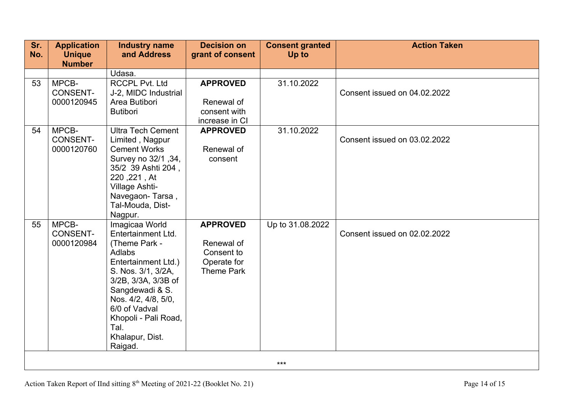| Sr.<br>No. | <b>Application</b><br><b>Unique</b> | <b>Industry name</b><br>and Address | <b>Decision on</b><br>grant of consent | <b>Consent granted</b><br>Up to | <b>Action Taken</b>          |  |  |  |
|------------|-------------------------------------|-------------------------------------|----------------------------------------|---------------------------------|------------------------------|--|--|--|
|            | <b>Number</b>                       |                                     |                                        |                                 |                              |  |  |  |
|            |                                     | Udasa.                              |                                        |                                 |                              |  |  |  |
| 53         | MPCB-                               | <b>RCCPL Pvt. Ltd</b>               | <b>APPROVED</b>                        | 31.10.2022                      |                              |  |  |  |
|            | <b>CONSENT-</b>                     | J-2, MIDC Industrial                |                                        |                                 | Consent issued on 04.02.2022 |  |  |  |
|            | 0000120945                          | Area Butibori                       | Renewal of                             |                                 |                              |  |  |  |
|            |                                     | <b>Butibori</b>                     | consent with                           |                                 |                              |  |  |  |
|            |                                     |                                     | increase in CI                         |                                 |                              |  |  |  |
| 54         | MPCB-                               | <b>Ultra Tech Cement</b>            | <b>APPROVED</b>                        | 31.10.2022                      |                              |  |  |  |
|            | <b>CONSENT-</b>                     | Limited, Nagpur                     |                                        |                                 | Consent issued on 03.02.2022 |  |  |  |
|            | 0000120760                          | <b>Cement Works</b>                 | Renewal of                             |                                 |                              |  |  |  |
|            |                                     | Survey no 32/1, 34,                 | consent                                |                                 |                              |  |  |  |
|            |                                     | 35/2 39 Ashti 204,                  |                                        |                                 |                              |  |  |  |
|            |                                     | 220, 221, At                        |                                        |                                 |                              |  |  |  |
|            |                                     | Village Ashti-<br>Navegaon-Tarsa,   |                                        |                                 |                              |  |  |  |
|            |                                     | Tal-Mouda, Dist-                    |                                        |                                 |                              |  |  |  |
|            |                                     | Nagpur.                             |                                        |                                 |                              |  |  |  |
| 55         | MPCB-                               | Imagicaa World                      | <b>APPROVED</b>                        | Up to 31.08.2022                |                              |  |  |  |
|            | <b>CONSENT-</b>                     | Entertainment Ltd.                  |                                        |                                 | Consent issued on 02.02.2022 |  |  |  |
|            | 0000120984                          | (Theme Park -                       | Renewal of                             |                                 |                              |  |  |  |
|            |                                     | Adlabs                              | Consent to                             |                                 |                              |  |  |  |
|            |                                     | Entertainment Ltd.)                 | Operate for                            |                                 |                              |  |  |  |
|            |                                     | S. Nos. 3/1, 3/2A,                  | <b>Theme Park</b>                      |                                 |                              |  |  |  |
|            |                                     | 3/2B, 3/3A, 3/3B of                 |                                        |                                 |                              |  |  |  |
|            |                                     | Sangdewadi & S.                     |                                        |                                 |                              |  |  |  |
|            |                                     | Nos. 4/2, 4/8, 5/0,                 |                                        |                                 |                              |  |  |  |
|            |                                     | 6/0 of Vadval                       |                                        |                                 |                              |  |  |  |
|            |                                     | Khopoli - Pali Road,                |                                        |                                 |                              |  |  |  |
|            |                                     | Tal.                                |                                        |                                 |                              |  |  |  |
|            |                                     | Khalapur, Dist.                     |                                        |                                 |                              |  |  |  |
|            |                                     | Raigad.                             |                                        |                                 |                              |  |  |  |
|            |                                     |                                     |                                        |                                 |                              |  |  |  |
| $***$      |                                     |                                     |                                        |                                 |                              |  |  |  |